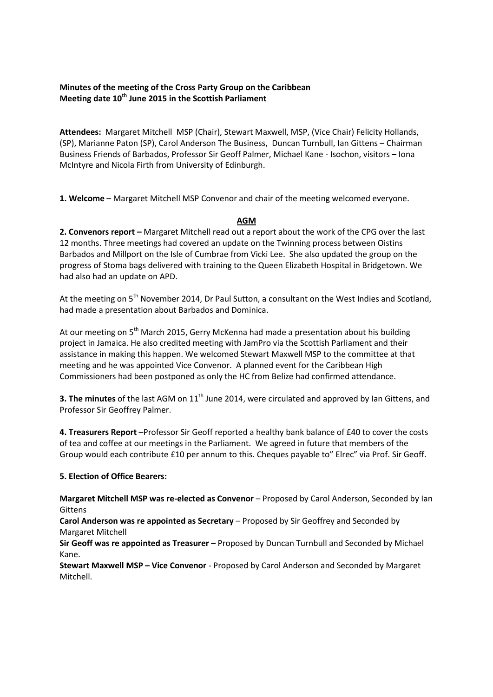## **Minutes of the meeting of the Cross Party Group on the Caribbean Meeting date 10th June 2015 in the Scottish Parliament**

**Attendees:** Margaret Mitchell MSP (Chair), Stewart Maxwell, MSP, (Vice Chair) Felicity Hollands, (SP), Marianne Paton (SP), Carol Anderson The Business, Duncan Turnbull, Ian Gittens – Chairman Business Friends of Barbados, Professor Sir Geoff Palmer, Michael Kane - Isochon, visitors – Iona McIntyre and Nicola Firth from University of Edinburgh.

**1. Welcome** – Margaret Mitchell MSP Convenor and chair of the meeting welcomed everyone.

## **AGM**

**2. Convenors report –** Margaret Mitchell read out a report about the work of the CPG over the last 12 months. Three meetings had covered an update on the Twinning process between Oistins Barbados and Millport on the Isle of Cumbrae from Vicki Lee. She also updated the group on the progress of Stoma bags delivered with training to the Queen Elizabeth Hospital in Bridgetown. We had also had an update on APD.

At the meeting on 5<sup>th</sup> November 2014, Dr Paul Sutton, a consultant on the West Indies and Scotland, had made a presentation about Barbados and Dominica.

At our meeting on  $5<sup>th</sup>$  March 2015, Gerry McKenna had made a presentation about his building project in Jamaica. He also credited meeting with JamPro via the Scottish Parliament and their assistance in making this happen. We welcomed Stewart Maxwell MSP to the committee at that meeting and he was appointed Vice Convenor. A planned event for the Caribbean High Commissioners had been postponed as only the HC from Belize had confirmed attendance.

**3. The minutes** of the last AGM on 11<sup>th</sup> June 2014, were circulated and approved by Ian Gittens, and Professor Sir Geoffrey Palmer.

**4. Treasurers Report** –Professor Sir Geoff reported a healthy bank balance of £40 to cover the costs of tea and coffee at our meetings in the Parliament. We agreed in future that members of the Group would each contribute £10 per annum to this. Cheques payable to" Elrec" via Prof. Sir Geoff.

# **5. Election of Office Bearers:**

**Margaret Mitchell MSP was re-elected as Convenor** – Proposed by Carol Anderson, Seconded by Ian Gittens

**Carol Anderson was re appointed as Secretary** – Proposed by Sir Geoffrey and Seconded by Margaret Mitchell

**Sir Geoff was re appointed as Treasurer –** Proposed by Duncan Turnbull and Seconded by Michael Kane.

**Stewart Maxwell MSP – Vice Convenor** - Proposed by Carol Anderson and Seconded by Margaret Mitchell.